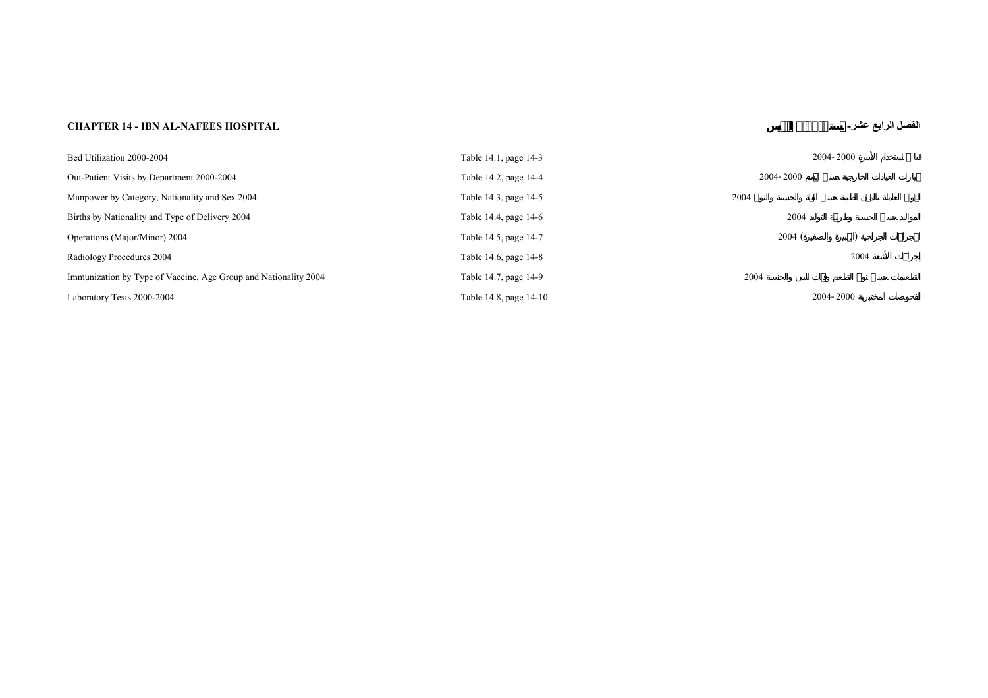## **CHAPTER 14 - IBN AL-NAFEES HOSPITAL -عشر الرابع الفصل**

| Bed Utilization 2000-2004                                       | Table 14.1, page 14-3  | 2004-2000 |
|-----------------------------------------------------------------|------------------------|-----------|
| Out-Patient Visits by Department 2000-2004                      | Table 14.2, page 14-4  | 2004-2000 |
| Manpower by Category, Nationality and Sex 2004                  | Table 14.3, page 14-5  | 2004      |
| Births by Nationality and Type of Delivery 2004                 | Table 14.4, page 14-6  | 2004      |
| Operations (Major/Minor) 2004                                   | Table 14.5, page 14-7  | 2004(     |
| Radiology Procedures 2004                                       | Table 14.6, page 14-8  | 2004      |
| Immunization by Type of Vaccine, Age Group and Nationality 2004 | Table 14.7, page 14-9  | 2004      |
| Laboratory Tests 2000-2004                                      | Table 14.8, page 14-10 | 2004-2000 |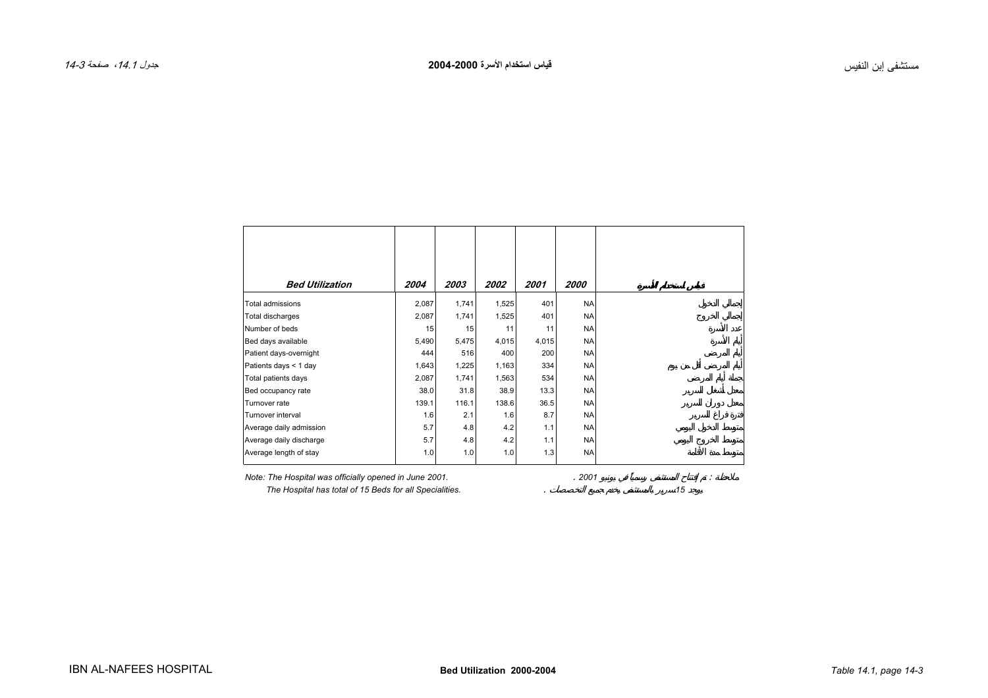<span id="page-2-0"></span>

| <b>Bed Utilization</b>  | 2004  | 2003  | 2002  | 2001  | 2000      |
|-------------------------|-------|-------|-------|-------|-----------|
| Total admissions        | 2,087 | 1,741 | 1,525 | 401   | <b>NA</b> |
| Total discharges        | 2,087 | 1,741 | 1,525 | 401   | <b>NA</b> |
| Number of beds          | 15    | 15    | 11    | 11    | <b>NA</b> |
| Bed days available      | 5,490 | 5,475 | 4,015 | 4,015 | <b>NA</b> |
| Patient days-overnight  | 444   | 516   | 400   | 200   | <b>NA</b> |
| Patients days < 1 day   | 1,643 | 1,225 | 1,163 | 334   | <b>NA</b> |
| Total patients days     | 2,087 | 1,741 | 1,563 | 534   | <b>NA</b> |
| Bed occupancy rate      | 38.0  | 31.8  | 38.9  | 13.3  | <b>NA</b> |
| Turnover rate           | 139.1 | 116.1 | 138.6 | 36.5  | <b>NA</b> |
| Turnover interval       | 1.6   | 2.1   | 1.6   | 8.7   | <b>NA</b> |
| Average daily admission | 5.7   | 4.8   | 4.2   | 1.1   | <b>NA</b> |
| Average daily discharge | 5.7   | 4.8   | 4.2   | 1.1   | <b>NA</b> |
| Average length of stay  | 1.0   | 1.0   | 1.0   | 1.3   | <b>NA</b> |

┱

*Note: The Hospital was officially opened in June 2001.* . *2001* :

 *The Hospital has total of 15 Beds for all Specialities.* . *15*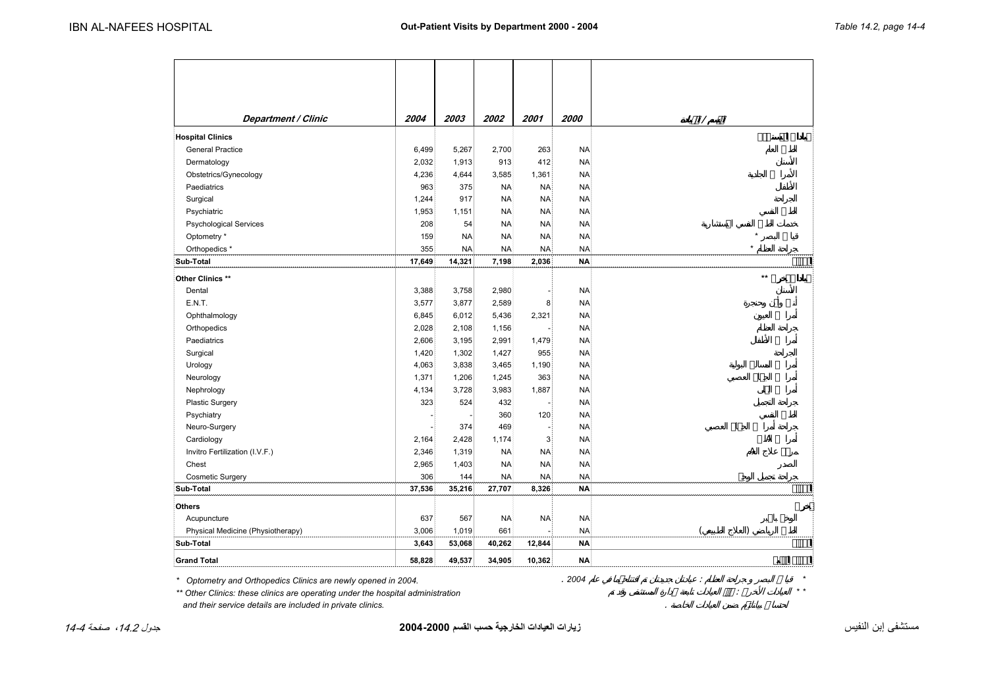<span id="page-3-0"></span>

| <b>Department / Clinic</b>                                                      | 2004   | 2003      | 2002      | 2001      | <i>2000</i> |       |
|---------------------------------------------------------------------------------|--------|-----------|-----------|-----------|-------------|-------|
|                                                                                 |        |           |           |           |             |       |
| <b>Hospital Clinics</b><br><b>General Practice</b>                              | 6,499  | 5,267     | 2,700     | 263       | <b>NA</b>   |       |
|                                                                                 | 2,032  | 1,913     | 913       | 412       | <b>NA</b>   |       |
| Dermatology                                                                     | 4,236  | 4,644     | 3,585     | 1,361     | <b>NA</b>   |       |
| Obstetrics/Gynecology                                                           |        |           |           |           |             |       |
| Paediatrics                                                                     | 963    | 375       | <b>NA</b> | <b>NA</b> | <b>NA</b>   |       |
| Surgical                                                                        | 1,244  | 917       | <b>NA</b> | <b>NA</b> | <b>NA</b>   |       |
| Psychiatric                                                                     | 1,953  | 1,151     | <b>NA</b> | <b>NA</b> | <b>NA</b>   |       |
| <b>Psychological Services</b>                                                   | 208    | 54        | <b>NA</b> | <b>NA</b> | <b>NA</b>   |       |
| Optometry *                                                                     | 159    | <b>NA</b> | <b>NA</b> | <b>NA</b> | <b>NA</b>   |       |
| Orthopedics *                                                                   | 355    | <b>NA</b> | <b>NA</b> | <b>NA</b> | <b>NA</b>   |       |
| Sub-Total                                                                       | 17,649 | 14,321    | 7,198     | 2,036     | <b>NA</b>   |       |
| Other Clinics **                                                                |        |           |           |           |             | **    |
| Dental                                                                          | 3,388  | 3,758     | 2,980     |           | <b>NA</b>   |       |
| E.N.T.                                                                          | 3,577  | 3,877     | 2,589     | 8         | <b>NA</b>   |       |
| Ophthalmology                                                                   | 6,845  | 6,012     | 5,436     | 2,321     | <b>NA</b>   |       |
| Orthopedics                                                                     | 2,028  | 2,108     | 1,156     |           | <b>NA</b>   |       |
| Paediatrics                                                                     | 2,606  | 3,195     | 2,991     | 1,479     | <b>NA</b>   |       |
| Surgical                                                                        | 1,420  | 1,302     | 1,427     | 955       | <b>NA</b>   |       |
| Urology                                                                         | 4,063  | 3,838     | 3,465     | 1,190     | <b>NA</b>   |       |
| Neurology                                                                       | 1,371  | 1,206     | 1,245     | 363       | <b>NA</b>   |       |
| Nephrology                                                                      | 4,134  | 3,728     | 3,983     | 1,887     | <b>NA</b>   |       |
| <b>Plastic Surgery</b>                                                          | 323    | 524       | 432       |           | <b>NA</b>   |       |
| Psychiatry                                                                      |        |           | 360       | 120       | <b>NA</b>   |       |
| Neuro-Surgery                                                                   |        | 374       | 469       |           | <b>NA</b>   |       |
| Cardiology                                                                      | 2,164  | 2,428     | 1,174     | 3         | <b>NA</b>   |       |
| Invitro Fertilization (I.V.F.)                                                  | 2,346  | 1,319     | <b>NA</b> | <b>NA</b> | <b>NA</b>   |       |
| Chest                                                                           | 2,965  | 1,403     | <b>NA</b> | <b>NA</b> | <b>NA</b>   |       |
| <b>Cosmetic Surgery</b>                                                         | 306    | 144       | <b>NA</b> | <b>NA</b> | <b>NA</b>   |       |
| Sub-Total                                                                       | 37,536 | 35,216    | 27,707    | 8,326     | <b>NA</b>   |       |
| Others                                                                          |        |           |           |           |             |       |
| Acupuncture                                                                     | 637    | 567       | <b>NA</b> | <b>NA</b> | <b>NA</b>   |       |
| Physical Medicine (Physiotherapy)                                               | 3,006  | 1,019     | 661       |           | <b>NA</b>   |       |
| Sub-Total                                                                       | 3,643  | 53,068    | 40,262    | 12,844    | <b>NA</b>   |       |
| <b>Grand Total</b>                                                              | 58,828 | 49,537    | 34,905    | 10,362    | <b>NA</b>   |       |
|                                                                                 |        |           |           |           |             |       |
| Optometry and Orthopedics Clinics are newly opened in 2004.                     |        |           |           |           | .2004       |       |
| ** Other Clinics: these clinics are operating under the hospital administration |        |           |           |           |             | $* *$ |

*\*\* Other Clinics: these clinics are operating under the hospital administration* : *\* \**

 *and their service details are included in private clinics.* .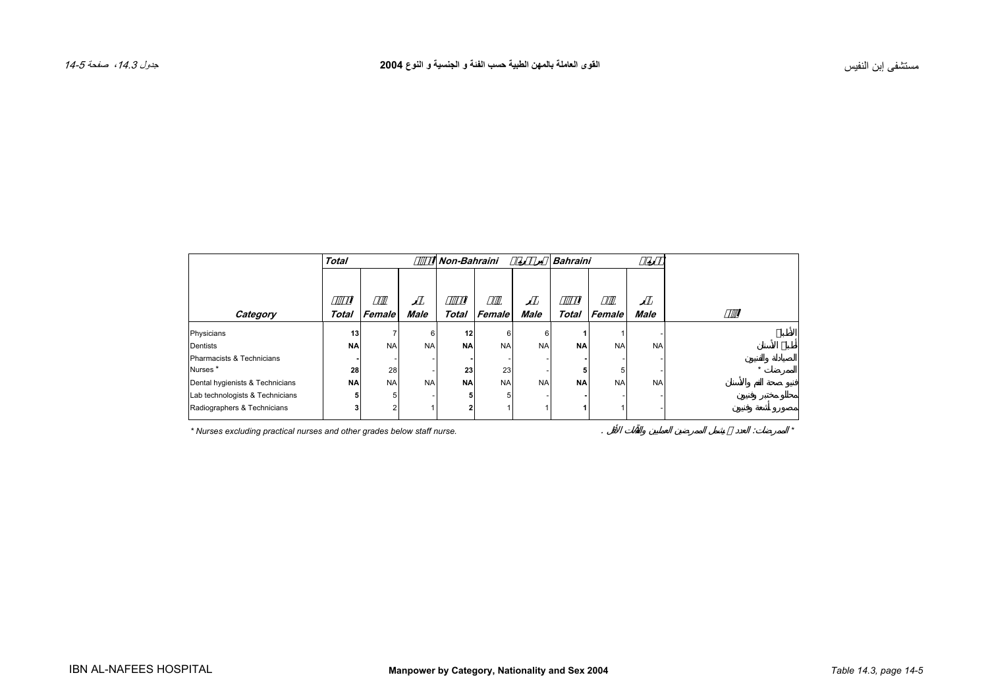<span id="page-4-0"></span>

|                                 | <b>Total</b> |           |             | <b>Bahraini</b><br><b>Non-Bahraini</b> |           |             |              |           |             |  |
|---------------------------------|--------------|-----------|-------------|----------------------------------------|-----------|-------------|--------------|-----------|-------------|--|
| Category                        | Total        | Female    | <b>Male</b> | <b>Total</b>                           | Female    | <b>Male</b> | <b>Total</b> | Female    | <b>Male</b> |  |
| Physicians                      | 13           | 7         | 6           | 12                                     | 6         | 6           |              |           |             |  |
| Dentists                        | <b>NA</b>    | <b>NA</b> | <b>NA</b>   | <b>NA</b>                              | <b>NA</b> | <b>NA</b>   | <b>NA</b>    | <b>NA</b> | <b>NA</b>   |  |
| Pharmacists & Technicians       |              |           |             |                                        |           |             |              |           |             |  |
| Nurses <sup>*</sup>             | 28           | 28        |             | 23                                     | 23        |             |              | 5         |             |  |
| Dental hygienists & Technicians | <b>NA</b>    | <b>NA</b> | <b>NA</b>   | <b>NA</b>                              | <b>NA</b> | <b>NA</b>   | <b>NA</b>    | <b>NA</b> | <b>NA</b>   |  |
| Lab technologists & Technicians |              | 5         |             |                                        | 5         |             |              |           |             |  |
| Radiographers & Technicians     |              | 2         |             |                                        |           |             |              |           |             |  |

*\* Nurses excluding practical nurses and other grades below staff nurse.* . : *\**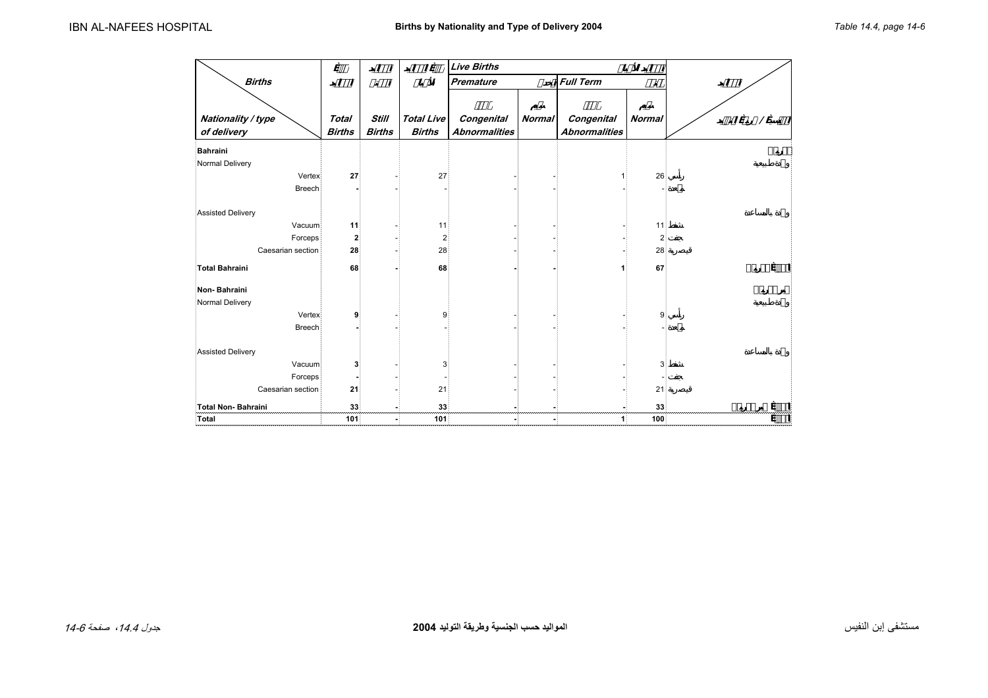<span id="page-5-0"></span>

|                                   |                               |                               |                                    | <b>Live Births</b>                 |        |                                    |                         |  |
|-----------------------------------|-------------------------------|-------------------------------|------------------------------------|------------------------------------|--------|------------------------------------|-------------------------|--|
| <b>Births</b>                     |                               |                               |                                    | <b>Premature</b>                   |        | <b>Full Term</b>                   | Ø                       |  |
| Nationality / type<br>of delivery | <b>Total</b><br><b>Births</b> | <b>Still</b><br><b>Births</b> | <b>Total Live</b><br><b>Births</b> | Congenital<br><b>Abnormalities</b> | Normal | Congenital<br><b>Abnormalities</b> | Normal                  |  |
| Bahraini                          |                               |                               |                                    |                                    |        |                                    |                         |  |
| Normal Delivery                   |                               |                               |                                    |                                    |        |                                    |                         |  |
| Vertex                            | 27                            |                               | 27                                 |                                    |        |                                    | 26                      |  |
| <b>Breech</b>                     |                               |                               |                                    |                                    |        |                                    |                         |  |
| Assisted Delivery                 |                               |                               |                                    |                                    |        |                                    |                         |  |
| Vacuum                            | 11                            |                               | 11                                 |                                    |        |                                    | 11                      |  |
| Forceps                           | $\overline{\mathbf{2}}$       |                               | $\overline{\mathbf{c}}$            |                                    |        |                                    | $\overline{\mathbf{c}}$ |  |
| Caesarian section                 | 28                            |                               | 28                                 |                                    |        |                                    | 28                      |  |
| Total Bahraini                    | 68                            |                               | 68                                 |                                    |        |                                    | 67                      |  |
| Non-Bahraini                      |                               |                               |                                    |                                    |        |                                    |                         |  |
| Normal Delivery                   |                               |                               |                                    |                                    |        |                                    |                         |  |
| Vertex                            | 9                             |                               | 9                                  |                                    |        |                                    | 9                       |  |
| <b>Breech</b>                     |                               |                               |                                    |                                    |        |                                    |                         |  |
| <b>Assisted Delivery</b>          |                               |                               |                                    |                                    |        |                                    |                         |  |
| Vacuum                            | 3                             |                               | 3                                  |                                    |        |                                    | 3                       |  |
| Forceps                           |                               |                               |                                    |                                    |        |                                    |                         |  |
| Caesarian section                 | 21                            |                               | 21                                 |                                    |        |                                    | 21                      |  |
| Total Non-Bahraini                | 33                            |                               | 33                                 |                                    |        |                                    | 33                      |  |
| Total                             | 101                           |                               | 101                                |                                    |        | 1                                  | 100                     |  |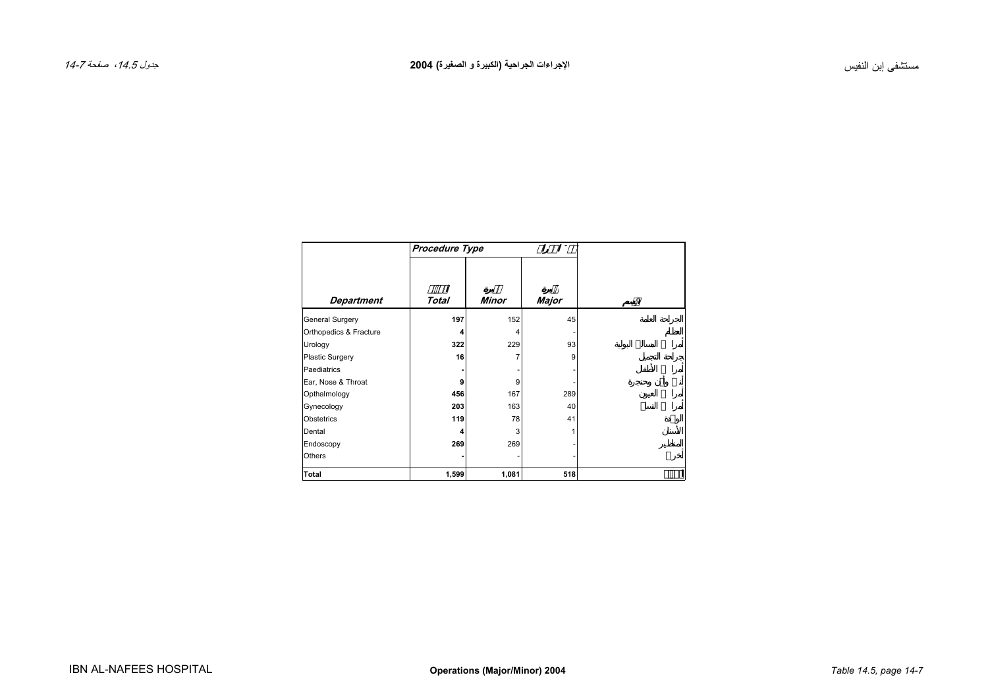<span id="page-6-0"></span>

|                        | Procedure Type |       |       |  |  |  |  |  |  |
|------------------------|----------------|-------|-------|--|--|--|--|--|--|
| <b>Department</b>      | Total          | Minor | Major |  |  |  |  |  |  |
| General Surgery        | 197            | 152   | 45    |  |  |  |  |  |  |
| Orthopedics & Fracture | 4              | 4     |       |  |  |  |  |  |  |
| Urology                | 322            | 229   | 93    |  |  |  |  |  |  |
| <b>Plastic Surgery</b> | 16             | 7     | 9     |  |  |  |  |  |  |
| Paediatrics            |                |       |       |  |  |  |  |  |  |
| Ear, Nose & Throat     | 9              | 9     |       |  |  |  |  |  |  |
| Opthalmology           | 456            | 167   | 289   |  |  |  |  |  |  |
| Gynecology             | 203            | 163   | 40    |  |  |  |  |  |  |
| Obstetrics             | 119            | 78    | 41    |  |  |  |  |  |  |
| Dental                 | Δ              | 3     |       |  |  |  |  |  |  |
| Endoscopy              | 269            | 269   |       |  |  |  |  |  |  |
| Others                 |                |       |       |  |  |  |  |  |  |
| Total                  | 1,599          | 1,081 | 518   |  |  |  |  |  |  |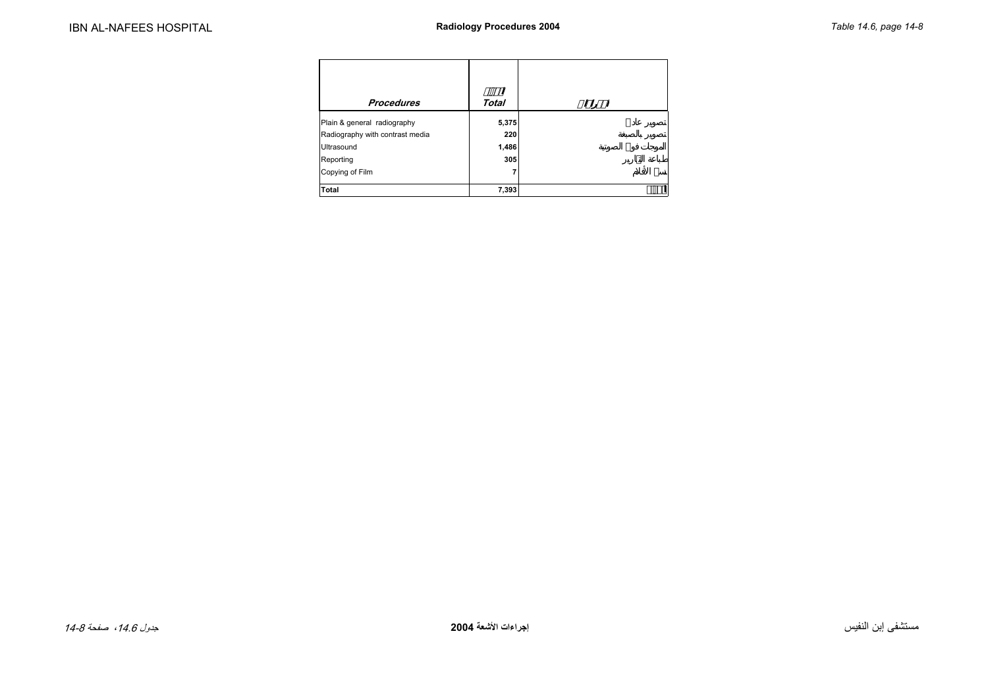<span id="page-7-0"></span>

| <b>Procedures</b>               | Total |
|---------------------------------|-------|
| Plain & general radiography     | 5,375 |
| Radiography with contrast media | 220   |
| Ultrasound                      | 1,486 |
| Reporting                       | 305   |
| Copying of Film                 |       |
| <b>Total</b>                    | 7,393 |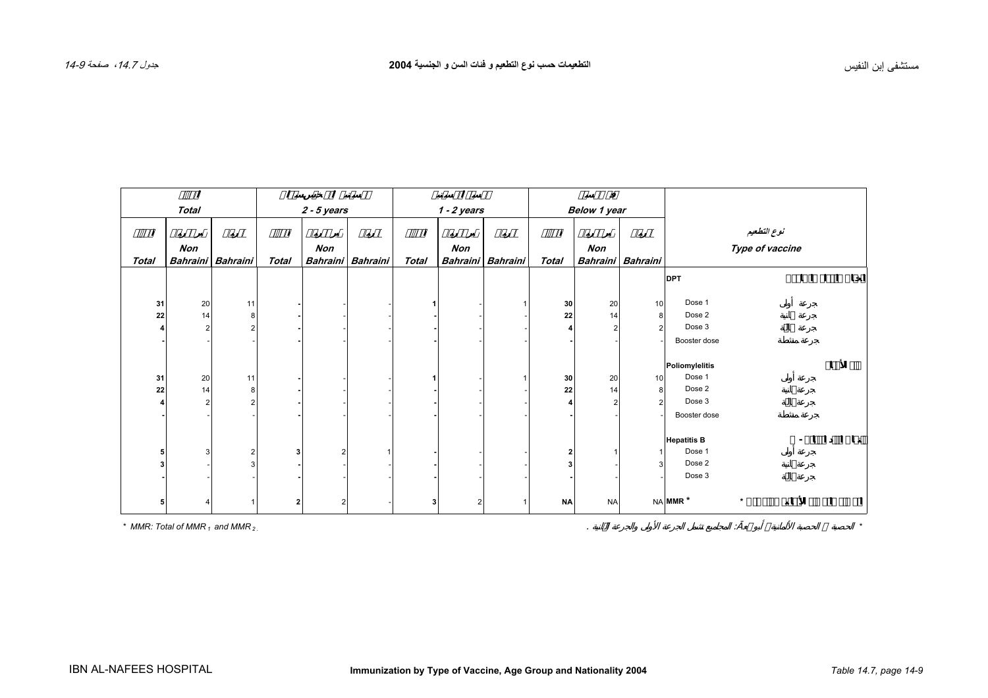<span id="page-8-0"></span>

|              |                |                   |                |               |                   |               |     |                   | $\varnothing$       |           |                   |                     |                                |   |   |
|--------------|----------------|-------------------|----------------|---------------|-------------------|---------------|-----|-------------------|---------------------|-----------|-------------------|---------------------|--------------------------------|---|---|
|              | <b>Total</b>   |                   |                | $2 - 5$ years |                   | $1 - 2$ years |     |                   | <b>Below 1 year</b> |           |                   |                     |                                |   |   |
|              |                |                   |                |               |                   |               |     |                   |                     |           |                   |                     |                                |   |   |
|              | Non            |                   |                | Non           |                   |               | Non |                   |                     | Non       |                   |                     | نوع التطعيم<br>Type of vaccine |   |   |
| <b>Total</b> |                | Bahraini Bahraini | Total          |               | Bahraini Bahraini | <b>Total</b>  |     | Bahraini Bahraini | Total               |           | Bahraini Bahraini |                     |                                |   |   |
|              |                |                   |                |               |                   |               |     |                   |                     |           |                   | <b>DPT</b>          |                                |   |   |
|              |                |                   |                |               |                   |               |     |                   |                     |           |                   |                     |                                |   |   |
| 31           | 20             | 11                |                |               |                   |               |     |                   | 30                  | 20        | $10$              | Dose 1              |                                |   |   |
| 22           | 14             | 8                 |                |               |                   |               |     |                   | 22                  | 14        | 8                 | Dose 2              |                                |   |   |
|              | 2              |                   |                |               |                   |               |     |                   |                     | 2         | $\overline{2}$    | Dose 3              |                                |   |   |
|              |                |                   |                |               |                   |               |     |                   |                     |           |                   | Booster dose        |                                |   |   |
|              |                |                   |                |               |                   |               |     |                   |                     |           |                   |                     |                                |   |   |
|              |                |                   |                |               |                   |               |     |                   |                     |           |                   | Poliomylelitis      |                                | Ø | Ø |
| 31           | 20             | 11                |                |               |                   |               |     |                   | 30                  | 20        | 10                | Dose 1              |                                |   |   |
| 22           | 14             | 8                 |                |               |                   |               |     |                   | 22                  | 14        | 8                 | Dose 2              |                                |   |   |
|              | $\overline{2}$ |                   |                |               |                   |               |     |                   |                     | 2         | $\overline{2}$    | Dose 3              |                                |   |   |
|              |                |                   |                |               |                   |               |     |                   |                     |           |                   | Booster dose        |                                |   |   |
|              |                |                   |                |               |                   |               |     |                   |                     |           |                   |                     |                                |   |   |
|              |                |                   |                |               |                   |               |     |                   |                     |           |                   | <b>Hepatitis B</b>  |                                |   |   |
| 5            | 3              | 2                 | 3              | 2             |                   |               |     |                   | $\mathbf{2}$        |           | $\mathbf{1}$      | Dose 1              |                                |   |   |
| 3            |                |                   |                |               |                   |               |     |                   | 3                   |           | 3                 | Dose 2              |                                |   |   |
|              |                |                   |                |               |                   |               |     |                   |                     |           |                   | Dose 3              |                                |   |   |
|              |                |                   |                |               |                   |               |     |                   |                     |           |                   | NA MMR <sup>*</sup> | $\star$                        |   |   |
|              |                |                   | $\overline{2}$ |               |                   | 3             | 2   |                   | <b>NA</b>           | <b>NA</b> |                   |                     |                                |   |   |

*\* MMR: Total of MMR <sup>1</sup>and MMR 2 .*

. :  *\**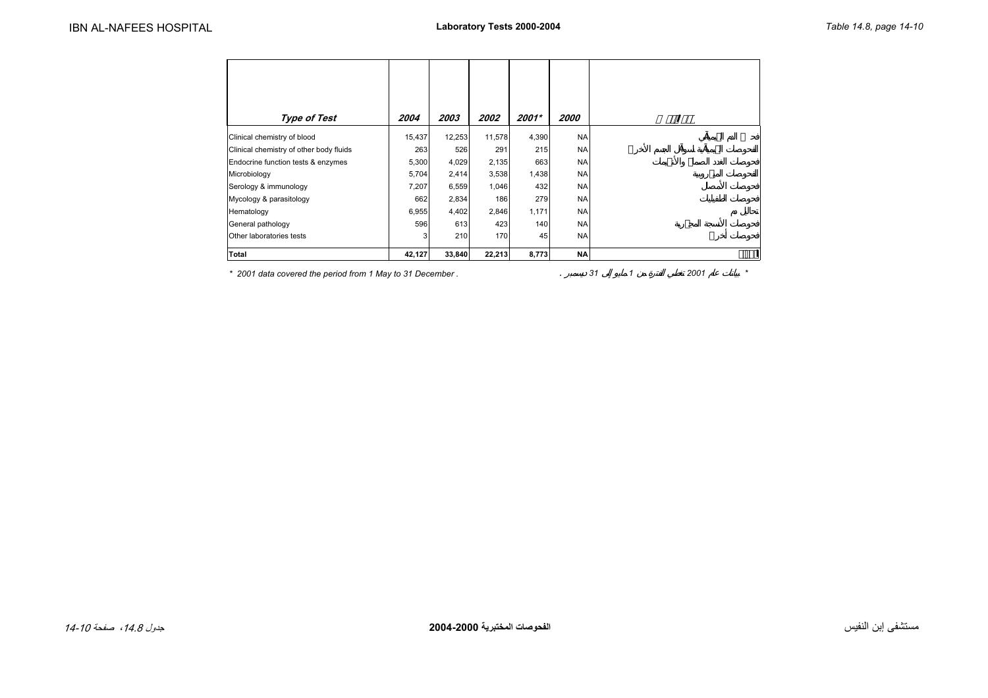<span id="page-9-0"></span>

| <b>Type of Test</b>                     | 2004   | 2003   | 2002   | 2001* | 2000      |
|-----------------------------------------|--------|--------|--------|-------|-----------|
| Clinical chemistry of blood             | 15,437 | 12,253 | 11,578 | 4,390 | <b>NA</b> |
| Clinical chemistry of other body fluids | 263    | 526    | 291    | 215   | <b>NA</b> |
| Endocrine function tests & enzymes      | 5,300  | 4,029  | 2,135  | 663   | <b>NA</b> |
| Microbiology                            | 5,704  | 2,414  | 3,538  | 1,438 | NA.       |
| Serology & immunology                   | 7,207  | 6,559  | 1,046  | 432   | <b>NA</b> |
| Mycology & parasitology                 | 662    | 2,834  | 186    | 279   | <b>NA</b> |
| Hematology                              | 6,955  | 4,402  | 2,846  | 1,171 | <b>NA</b> |
| General pathology                       | 596    | 613    | 423    | 140   | <b>NA</b> |
| Other laboratories tests                | 3      | 210    | 170    | 45    | <b>NA</b> |
| Total                                   | 42,127 | 33,840 | 22,213 | 8,773 | NA        |

*\* 2001 data covered the period from 1 May to 31 December .* . *31 1 2001 \**